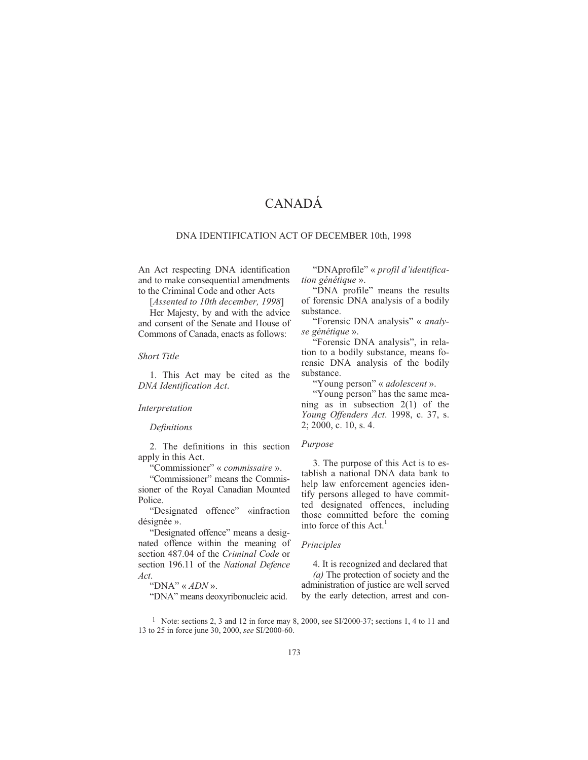# CANADÁ

#### DNA IDENTIFICATION ACT OF DECEMBER 10th, 1998

An Act respecting DNA identification and to make consequential amendments to the Criminal Code and other Acts

[*Assented to 10th december, 1998*]

Her Majesty, by and with the advice and consent of the Senate and House of Commons of Canada, enacts as follows:

# *Short Title*

1. This Act may be cited as the *DNA Identification Act*.

#### *Interpretation*

## *Definitions*

2. The definitions in this section apply in this Act.

"Commissioner" « *commissaire* ».

"Commissioner" means the Commissioner of the Royal Canadian Mounted Police.

"Designated offence" «infraction désignée ».

"Designated offence" means a designated offence within the meaning of section 487.04 of the *Criminal Code* or section 196.11 of the *National Defence Act*.

# "DNA" « *ADN* ».

"DNA" means deoxyribonucleic acid.

"DNAprofile" « *profil d'identification génétique* ».

"DNA profile" means the results of forensic DNA analysis of a bodily substance.

"Forensic DNA analysis" « *analyse génétique* ».

"Forensic DNA analysis", in relation to a bodily substance, means forensic DNA analysis of the bodily substance.

"Young person" « *adolescent* ».

"Young person" has the same meaning as in subsection 2(1) of the *Young Offenders Act*. 1998, c. 37, s. 2; 2000, c. 10, s. 4.

#### *Purpose*

3. The purpose of this Act is to establish a national DNA data bank to help law enforcement agencies identify persons alleged to have committed designated offences, including those committed before the coming into force of this Act.<sup>1</sup>

#### *Principles*

4. It is recognized and declared that *(a)* The protection of society and the administration of justice are well served by the early detection, arrest and con-

<sup>1</sup> Note: sections 2, 3 and 12 in force may 8, 2000, see SI/2000-37; sections 1, 4 to 11 and 13 to 25 in force june 30, 2000, *see* SI/2000-60.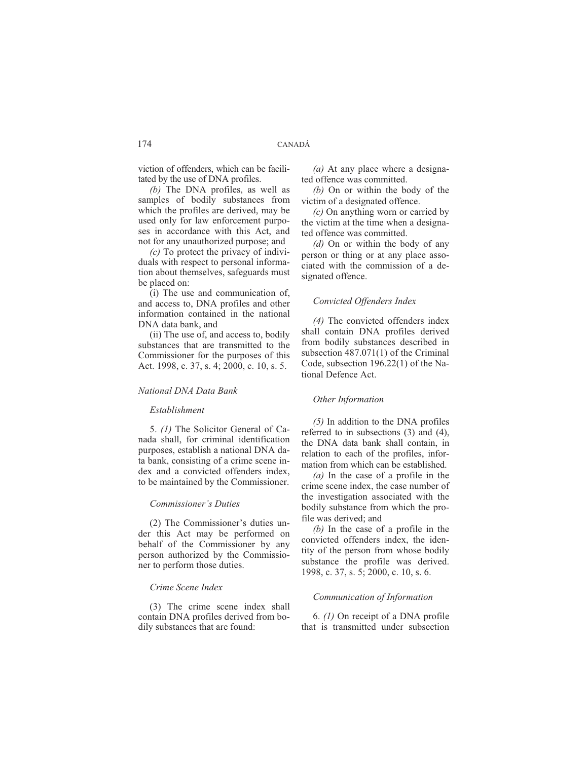viction of offenders, which can be facilitated by the use of DNA profiles.

*(b)* The DNA profiles, as well as samples of bodily substances from which the profiles are derived, may be used only for law enforcement purposes in accordance with this Act, and not for any unauthorized purpose; and

*(c)* To protect the privacy of individuals with respect to personal information about themselves, safeguards must be placed on:

(i) The use and communication of, and access to, DNA profiles and other information contained in the national DNA data bank, and

(ii) The use of, and access to, bodily substances that are transmitted to the Commissioner for the purposes of this Act. 1998, c. 37, s. 4; 2000, c. 10, s. 5.

# *National DNA Data Bank*

# *Establishment*

5. *(1)* The Solicitor General of Canada shall, for criminal identification purposes, establish a national DNA data bank, consisting of a crime scene index and a convicted offenders index, to be maintained by the Commissioner.

# *Commissioner's Duties*

(2) The Commissioner's duties under this Act may be performed on behalf of the Commissioner by any person authorized by the Commissioner to perform those duties.

# *Crime Scene Index*

(3) The crime scene index shall contain DNA profiles derived from bodily substances that are found:

*(a)* At any place where a designated offence was committed.

*(b)* On or within the body of the victim of a designated offence.

*(c)* On anything worn or carried by the victim at the time when a designated offence was committed.

*(d)* On or within the body of any person or thing or at any place associated with the commission of a designated offence.

## *Convicted Offenders Index*

*(4)* The convicted offenders index shall contain DNA profiles derived from bodily substances described in subsection 487.071(1) of the Criminal Code, subsection 196.22(1) of the National Defence Act.

# *Other Information*

*(5)* In addition to the DNA profiles referred to in subsections (3) and (4), the DNA data bank shall contain, in relation to each of the profiles, information from which can be established.

*(a)* In the case of a profile in the crime scene index, the case number of the investigation associated with the bodily substance from which the profile was derived; and

*(b)* In the case of a profile in the convicted offenders index, the identity of the person from whose bodily substance the profile was derived. 1998, c. 37, s. 5; 2000, c. 10, s. 6.

## *Communication of Information*

6. *(1)* On receipt of a DNA profile that is transmitted under subsection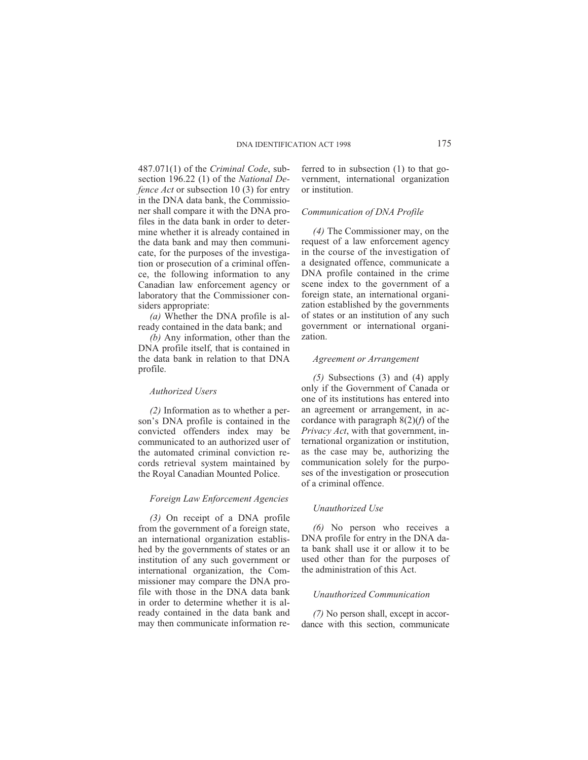487.071(1) of the *Criminal Code*, subsection 196.22 (1) of the *National Defence Act* or subsection 10 (3) for entry in the DNA data bank, the Commissioner shall compare it with the DNA profiles in the data bank in order to determine whether it is already contained in the data bank and may then communicate, for the purposes of the investigation or prosecution of a criminal offence, the following information to any Canadian law enforcement agency or laboratory that the Commissioner considers appropriate:

*(a)* Whether the DNA profile is already contained in the data bank; and

*(b)* Any information, other than the DNA profile itself, that is contained in the data bank in relation to that DNA profile.

#### *Authorized Users*

*(2)* Information as to whether a person's DNA profile is contained in the convicted offenders index may be communicated to an authorized user of the automated criminal conviction records retrieval system maintained by the Royal Canadian Mounted Police.

#### *Foreign Law Enforcement Agencies*

*(3)* On receipt of a DNA profile from the government of a foreign state, an international organization established by the governments of states or an institution of any such government or international organization, the Commissioner may compare the DNA profile with those in the DNA data bank in order to determine whether it is already contained in the data bank and may then communicate information referred to in subsection (1) to that government, international organization or institution.

## *Communication of DNA Profile*

*(4)* The Commissioner may, on the request of a law enforcement agency in the course of the investigation of a designated offence, communicate a DNA profile contained in the crime scene index to the government of a foreign state, an international organization established by the governments of states or an institution of any such government or international organization.

### *Agreement or Arrangement*

*(5)* Subsections (3) and (4) apply only if the Government of Canada or one of its institutions has entered into an agreement or arrangement, in accordance with paragraph 8(2)(*f*) of the *Privacy Act*, with that government, international organization or institution, as the case may be, authorizing the communication solely for the purposes of the investigation or prosecution of a criminal offence.

#### *Unauthorized Use*

*(6)* No person who receives a DNA profile for entry in the DNA data bank shall use it or allow it to be used other than for the purposes of the administration of this Act.

## *Unauthorized Communication*

*(7)* No person shall, except in accordance with this section, communicate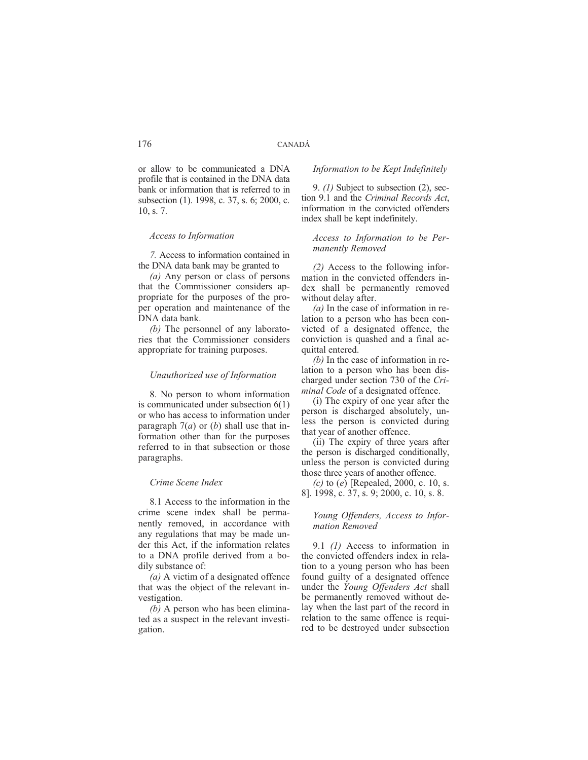or allow to be communicated a DNA profile that is contained in the DNA data bank or information that is referred to in subsection (1). 1998, c. 37, s. 6; 2000, c. 10, s. 7.

# *Access to Information*

*7.* Access to information contained in the DNA data bank may be granted to

*(a)* Any person or class of persons that the Commissioner considers appropriate for the purposes of the proper operation and maintenance of the DNA data bank.

*(b)* The personnel of any laboratories that the Commissioner considers appropriate for training purposes.

## *Unauthorized use of Information*

8. No person to whom information is communicated under subsection 6(1) or who has access to information under paragraph 7(*a*) or (*b*) shall use that information other than for the purposes referred to in that subsection or those paragraphs.

## *Crime Scene Index*

8.1 Access to the information in the crime scene index shall be permanently removed, in accordance with any regulations that may be made under this Act, if the information relates to a DNA profile derived from a bodily substance of:

*(a)* A victim of a designated offence that was the object of the relevant investigation.

*(b)* A person who has been eliminated as a suspect in the relevant investigation.

## *Information to be Kept Indefinitely*

9. *(1)* Subject to subsection (2), section 9.1 and the *Criminal Records Act*, information in the convicted offenders index shall be kept indefinitely.

# *Access to Information to be Permanently Removed*

*(2)* Access to the following information in the convicted offenders index shall be permanently removed without delay after.

*(a)* In the case of information in relation to a person who has been convicted of a designated offence, the conviction is quashed and a final acquittal entered.

*(b)* In the case of information in relation to a person who has been discharged under section 730 of the *Criminal Code* of a designated offence.

(i) The expiry of one year after the person is discharged absolutely, unless the person is convicted during that year of another offence.

(ii) The expiry of three years after the person is discharged conditionally, unless the person is convicted during those three years of another offence.

*(c)* to (*e*) [Repealed, 2000, c. 10, s. 8]. 1998, c. 37, s. 9; 2000, c. 10, s. 8.

# *Young Offenders, Access to Information Removed*

9.1 *(1)* Access to information in the convicted offenders index in relation to a young person who has been found guilty of a designated offence under the *Young Offenders Act* shall be permanently removed without delay when the last part of the record in relation to the same offence is required to be destroyed under subsection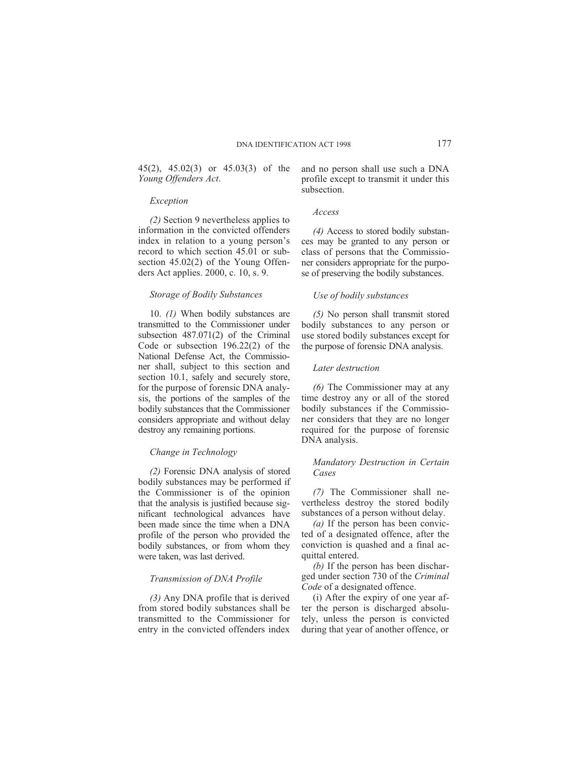45(2), 45.02(3) or 45.03(3) of the *Young Offenders Act*.

#### *Exception*

*(2)* Section 9 nevertheless applies to information in the convicted offenders index in relation to a young person's record to which section 45.01 or subsection 45.02(2) of the Young Offenders Act applies. 2000, c. 10, s. 9.

#### *Storage of Bodily Substances*

10. *(1)* When bodily substances are transmitted to the Commissioner under subsection 487.071(2) of the Criminal Code or subsection 196.22(2) of the National Defense Act, the Commissioner shall, subject to this section and section 10.1, safely and securely store, for the purpose of forensic DNA analysis, the portions of the samples of the bodily substances that the Commissioner considers appropriate and without delay destroy any remaining portions.

## *Change in Technology*

*(2)* Forensic DNA analysis of stored bodily substances may be performed if the Commissioner is of the opinion that the analysis is justified because significant technological advances have been made since the time when a DNA profile of the person who provided the bodily substances, or from whom they were taken, was last derived.

## *Transmission of DNA Profile*

*(3)* Any DNA profile that is derived from stored bodily substances shall be transmitted to the Commissioner for entry in the convicted offenders index and no person shall use such a DNA profile except to transmit it under this subsection.

#### *Access*

*(4)* Access to stored bodily substances may be granted to any person or class of persons that the Commissioner considers appropriate for the purpose of preserving the bodily substances.

## *Use of bodily substances*

*(5)* No person shall transmit stored bodily substances to any person or use stored bodily substances except for the purpose of forensic DNA analysis.

## *Later destruction*

*(6)* The Commissioner may at any time destroy any or all of the stored bodily substances if the Commissioner considers that they are no longer required for the purpose of forensic DNA analysis.

# *Mandatory Destruction in Certain Cases*

*(7)* The Commissioner shall nevertheless destroy the stored bodily substances of a person without delay.

*(a)* If the person has been convicted of a designated offence, after the conviction is quashed and a final acquittal entered.

*(b)* If the person has been discharged under section 730 of the *Criminal Code* of a designated offence.

(i) After the expiry of one year after the person is discharged absolutely, unless the person is convicted during that year of another offence, or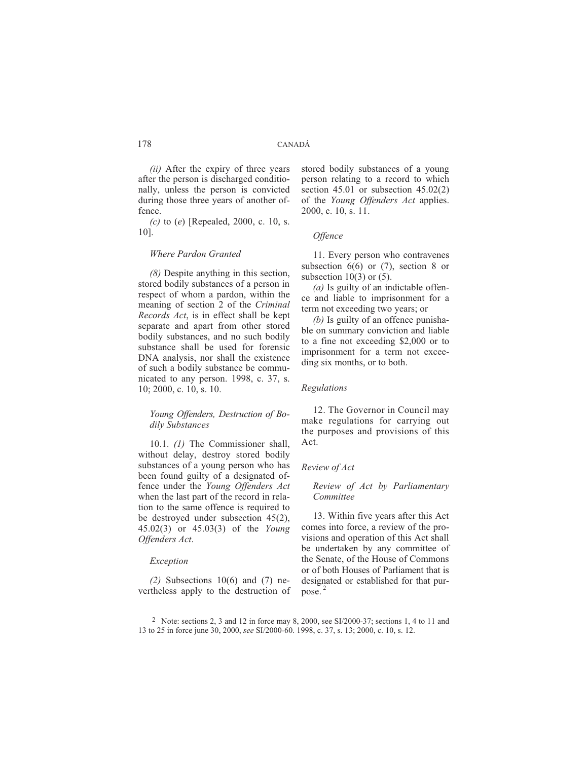*(ii)* After the expiry of three years after the person is discharged conditionally, unless the person is convicted during those three years of another offence.

*(c)* to (*e*) [Repealed, 2000, c. 10, s. 10].

# *Where Pardon Granted*

*(8)* Despite anything in this section, stored bodily substances of a person in respect of whom a pardon, within the meaning of section 2 of the *Criminal Records Act*, is in effect shall be kept separate and apart from other stored bodily substances, and no such bodily substance shall be used for forensic DNA analysis, nor shall the existence of such a bodily substance be communicated to any person. 1998, c. 37, s. 10; 2000, c. 10, s. 10.

# *Young Offenders, Destruction of Bodily Substances*

10.1. *(1)* The Commissioner shall, without delay, destroy stored bodily substances of a young person who has been found guilty of a designated offence under the *Young Offenders Act* when the last part of the record in relation to the same offence is required to be destroyed under subsection 45(2), 45.02(3) or 45.03(3) of the *Young Offenders Act*.

# *Exception*

*(2)* Subsections 10(6) and (7) nevertheless apply to the destruction of stored bodily substances of a young person relating to a record to which section 45.01 or subsection 45.02(2) of the *Young Offenders Act* applies. 2000, c. 10, s. 11.

## *Offence*

11. Every person who contravenes subsection  $6(6)$  or  $(7)$ , section 8 or subsection  $10(3)$  or  $(5)$ .

*(a)* Is guilty of an indictable offence and liable to imprisonment for a term not exceeding two years; or

*(b)* Is guilty of an offence punishable on summary conviction and liable to a fine not exceeding \$2,000 or to imprisonment for a term not exceeding six months, or to both.

## *Regulations*

12. The Governor in Council may make regulations for carrying out the purposes and provisions of this Act.

## *Review of Act*

*Review of Act by Parliamentary Committee*

13. Within five years after this Act comes into force, a review of the provisions and operation of this Act shall be undertaken by any committee of the Senate, of the House of Commons or of both Houses of Parliament that is designated or established for that purpose. <sup>2</sup>

<sup>&</sup>lt;sup>2</sup> Note: sections 2, 3 and 12 in force may 8, 2000, see SI/2000-37; sections 1, 4 to 11 and 13 to 25 in force june 30, 2000, *see* SI/2000-60. 1998, c. 37, s. 13; 2000, c. 10, s. 12.